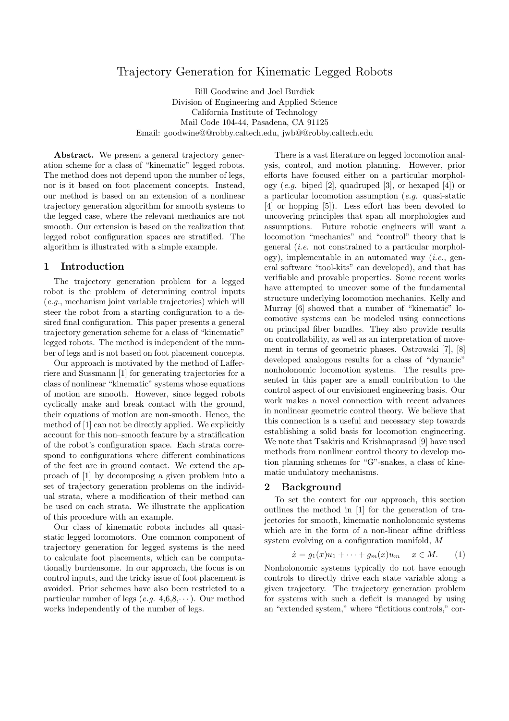# Trajectory Generation for Kinematic Legged Robots

Bill Goodwine and Joel Burdick Division of Engineering and Applied Science California Institute of Technology Mail Code 104-44, Pasadena, CA 91125 Email: goodwine@@robby.caltech.edu, jwb@@robby.caltech.edu

Abstract. We present a general trajectory generation scheme for a class of "kinematic" legged robots. The method does not depend upon the number of legs, nor is it based on foot placement concepts. Instead, our method is based on an extension of a nonlinear trajectory generation algorithm for smooth systems to the legged case, where the relevant mechanics are not smooth. Our extension is based on the realization that legged robot configuration spaces are stratified. The algorithm is illustrated with a simple example.

### 1 Introduction

The trajectory generation problem for a legged robot is the problem of determining control inputs (e.g., mechanism joint variable trajectories) which will steer the robot from a starting configuration to a desired final configuration. This paper presents a general trajectory generation scheme for a class of "kinematic" legged robots. The method is independent of the number of legs and is not based on foot placement concepts.

Our approach is motivated by the method of Lafferriere and Sussmann [1] for generating trajectories for a class of nonlinear "kinematic" systems whose equations of motion are smooth. However, since legged robots cyclically make and break contact with the ground, their equations of motion are non-smooth. Hence, the method of [1] can not be directly applied. We explicitly account for this non–smooth feature by a stratification of the robot's configuration space. Each strata correspond to configurations where different combinations of the feet are in ground contact. We extend the approach of [1] by decomposing a given problem into a set of trajectory generation problems on the individual strata, where a modification of their method can be used on each strata. We illustrate the application of this procedure with an example.

Our class of kinematic robots includes all quasistatic legged locomotors. One common component of trajectory generation for legged systems is the need to calculate foot placements, which can be computationally burdensome. In our approach, the focus is on control inputs, and the tricky issue of foot placement is avoided. Prior schemes have also been restricted to a particular number of legs  $(e.g. 4, 6, 8, \dots)$ . Our method works independently of the number of legs.

There is a vast literature on legged locomotion analysis, control, and motion planning. However, prior efforts have focused either on a particular morphology  $(e.g. \text{biped } [2], \text{quadruped } [3], \text{ or hexaped } [4]) \text{ or }$ a particular locomotion assumption (e.g. quasi-static [4] or hopping [5]). Less effort has been devoted to uncovering principles that span all morphologies and assumptions. Future robotic engineers will want a locomotion "mechanics" and "control" theory that is general (i.e. not constrained to a particular morphology), implementable in an automated way (*i.e.*, general software "tool-kits" can developed), and that has verifiable and provable properties. Some recent works have attempted to uncover some of the fundamental structure underlying locomotion mechanics. Kelly and Murray [6] showed that a number of "kinematic" locomotive systems can be modeled using connections on principal fiber bundles. They also provide results on controllability, as well as an interpretation of movement in terms of geometric phases. Ostrowski [7], [8] developed analogous results for a class of "dynamic" nonholonomic locomotion systems. The results presented in this paper are a small contribution to the control aspect of our envisioned engineering basis. Our work makes a novel connection with recent advances in nonlinear geometric control theory. We believe that this connection is a useful and necessary step towards establishing a solid basis for locomotion engineering. We note that Tsakiris and Krishnaprasad [9] have used methods from nonlinear control theory to develop motion planning schemes for "G"-snakes, a class of kinematic undulatory mechanisms.

## 2 Background

To set the context for our approach, this section outlines the method in [1] for the generation of trajectories for smooth, kinematic nonholonomic systems which are in the form of a non-linear affine driftless system evolving on a configuration manifold, M

$$
\dot{x} = g_1(x)u_1 + \dots + g_m(x)u_m \quad x \in M. \tag{1}
$$

Nonholonomic systems typically do not have enough controls to directly drive each state variable along a given trajectory. The trajectory generation problem for systems with such a deficit is managed by using an "extended system," where "fictitious controls," cor-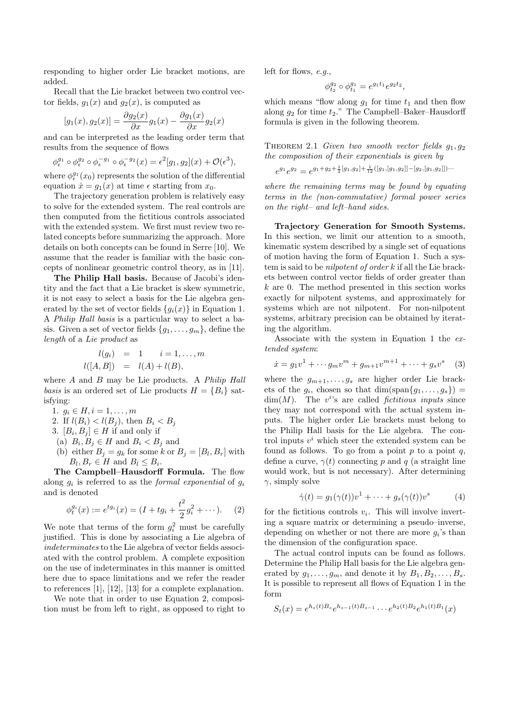responding to higher order Lie bracket motions, are added.

Recall that the Lie bracket between two control vector fields,  $g_1(x)$  and  $g_2(x)$ , is computed as

$$
[g_1(x), g_2(x)] = \frac{\partial g_2(x)}{\partial x} g_1(x) - \frac{\partial g_1(x)}{\partial x} g_2(x)
$$

and can be interpreted as the leading order term that results from the sequence of flows

$$
\phi^{g_1}_\epsilon \circ \phi^{g_2}_\epsilon \circ \phi^{-g_1}_\epsilon \circ \phi^{-g_2}_\epsilon(x) = \epsilon^2 [g_1,g_2](x) + \mathcal{O}(\epsilon^3),
$$

where  $\phi_{\epsilon}^{g_1}(x_0)$  represents the solution of the differential equation  $\dot{x} = g_1(x)$  at time  $\epsilon$  starting from  $x_0$ .

The trajectory generation problem is relatively easy to solve for the extended system. The real controls are then computed from the fictitious controls associated with the extended system. We first must review two related concepts before summarizing the approach. More details on both concepts can be found in Serre [10]. We assume that the reader is familiar with the basic concepts of nonlinear geometric control theory, as in [11].

The Philip Hall basis. Because of Jacobi's identity and the fact that a Lie bracket is skew symmetric, it is not easy to select a basis for the Lie algebra generated by the set of vector fields  ${g_i(x)}$  in Equation 1. A Philip Hall basis is a particular way to select a basis. Given a set of vector fields  ${g_1, \ldots, g_m}$ , define the length of a Lie product as

$$
l(g_i) = 1 \t i = 1,...,m
$$
  

$$
l([A, B]) = l(A) + l(B),
$$

where  $A$  and  $B$  may be Lie products. A *Philip Hall* basis is an ordered set of Lie products  $H = \{B_i\}$  satisfying:

1.  $q_i \in H, i = 1, \ldots, m$ 

- 2. If  $l(B_i) < l(B_j)$ , then  $B_i < B_j$
- 3.  $[B_i, B_j] \in H$  if and only if
- (a)  $B_i, B_j \in H$  and  $B_i < B_j$  and
- (b) either  $B_j = g_k$  for some k or  $B_j = [B_l, B_r]$  with  $B_l, B_r \in H$  and  $B_l \leq B_i$ .

The Campbell–Hausdorff Formula. The flow along  $g_i$  is referred to as the *formal exponential* of  $g_i$ and is denoted

$$
\phi_t^{g_i}(x) := e^{tg_i}(x) = (I + tg_i + \frac{t^2}{2}g_i^2 + \cdots). \tag{2}
$$

We note that terms of the form  $g_i^2$  must be carefully justified. This is done by associating a Lie algebra of indeterminates to the Lie algebra of vector fields associated with the control problem. A complete exposition on the use of indeterminates in this manner is omitted here due to space limitations and we refer the reader to references [1], [12], [13] for a complete explanation.

We note that in order to use Equation 2, composition must be from left to right, as opposed to right to left for flows, e.g.,

$$
\phi_{t_2}^{g_2} \circ \phi_{t_1}^{g_1} = e^{g_1 t_1} e^{g_2 t_2},
$$

which means "flow along  $g_1$  for time  $t_1$  and then flow along  $g_2$  for time  $t_2$ ." The Campbell–Baker–Hausdorff formula is given in the following theorem.

THEOREM 2.1 Given two smooth vector fields  $q_1, q_2$ the composition of their exponentials is given by

$$
e^{g_1}e^{g_2} = e^{g_1+g_2+\frac{1}{2}[g_1,g_2]+\frac{1}{12}([g_1,[g_1,g_2]]-[g_2,[g_1,g_2]])\cdots}
$$

where the remaining terms may be found by equating terms in the (non-commutative) formal power series on the right– and left–hand sides.

Trajectory Generation for Smooth Systems. In this section, we limit our attention to a smooth, kinematic system described by a single set of equations of motion having the form of Equation 1. Such a system is said to be nilpotent of order k if all the Lie brackets between control vector fields of order greater than k are 0. The method presented in this section works exactly for nilpotent systems, and approximately for systems which are not nilpotent. For non-nilpotent systems, arbitrary precision can be obtained by iterating the algorithm.

Associate with the system in Equation 1 the extended system:

$$
\dot{x} = g_1 v^1 + \dots + g_m v^m + g_{m+1} v^{m+1} + \dots + g_s v^s \quad (3)
$$

where the  $g_{m+1}, \ldots, g_s$  are higher order Lie brackets of the  $g_i$ , chosen so that  $\dim(\text{span}\{g_1,\ldots,g_s\})$  =  $\dim(M)$ . The v<sup>i</sup>'s are called *fictitious inputs* since they may not correspond with the actual system inputs. The higher order Lie brackets must belong to the Philip Hall basis for the Lie algebra. The control inputs  $v^i$  which steer the extended system can be found as follows. To go from a point  $p$  to a point  $q$ , define a curve,  $\gamma(t)$  connecting p and q (a straight line would work, but is not necessary). After determining  $\gamma$ , simply solve

$$
\dot{\gamma}(t) = g_1(\gamma(t))v^1 + \dots + g_s(\gamma(t))v^s \tag{4}
$$

for the fictitious controls  $v_i$ . This will involve inverting a square matrix or determining a pseudo–inverse, depending on whether or not there are more  $g_i$ 's than the dimension of the configuration space.

The actual control inputs can be found as follows. Determine the Philip Hall basis for the Lie algebra generated by  $g_1, \ldots, g_m$ , and denote it by  $B_1, B_2, \ldots, B_s$ . It is possible to represent all flows of Equation 1 in the form

$$
S_t(x) = e^{h_s(t)B_s}e^{h_{s-1}(t)B_{s-1}}\cdots e^{h_2(t)B_2}e^{h_1(t)B_1}(x)
$$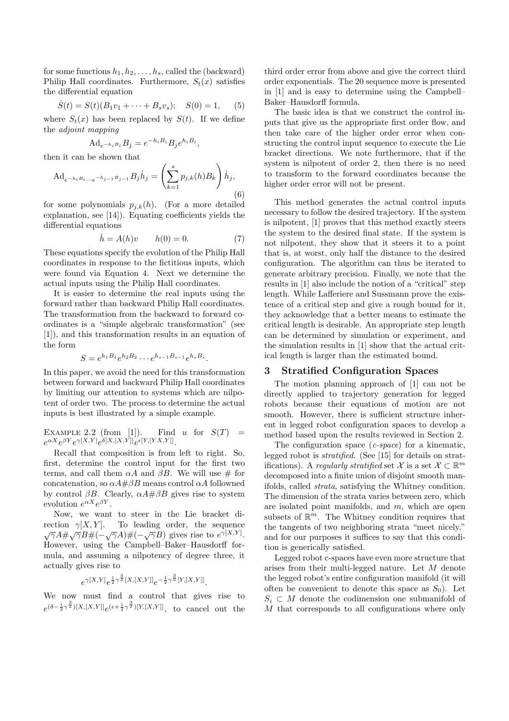for some functions  $h_1, h_2, \ldots, h_s$ , called the (backward) Philip Hall coordinates. Furthermore,  $S_t(x)$  satisfies the differential equation

$$
\dot{S}(t) = S(t)(B_1v_1 + \dots + B_sv_s); \quad S(0) = 1, \quad (5)
$$

where  $S_t(x)$  has been replaced by  $S(t)$ . If we define the adjoint mapping

$$
\mathrm{Ad}_{e^{-h_i B_i}} B_j = e^{-h_i B_i} B_j e^{h_i B_i},
$$

then it can be shown that

$$
\mathrm{Ad}_{e^{-h_i B_i \dots e^{-h_{j-1} B_j - 1}}} B_j \dot{h}_j = \left(\sum_{k=1}^s p_{j,k}(h) B_k\right) \dot{h}_j,
$$
\n(6)

for some polynomials  $p_{i,k}(h)$ . (For a more detailed explanation, see [14]). Equating coefficients yields the differential equations

$$
\dot{h} = A(h)v \qquad h(0) = 0. \tag{7}
$$

These equations specify the evolution of the Philip Hall coordinates in response to the fictitious inputs, which were found via Equation 4. Next we determine the actual inputs using the Philip Hall coordinates.

It is easier to determine the real inputs using the forward rather than backward Philip Hall coordinates. The transformation from the backward to forward coordinates is a "simple algebraic transformation" (see [1]), and this transformation results in an equation of the form

$$
S = e^{h_1 B_1} e^{h_2 B_2} \cdots e^{h_{s-1} B_{s-1}} e^{h_s B_s}.
$$

In this paper, we avoid the need for this transformation between forward and backward Philip Hall coordinates by limiting our attention to systems which are nilpotent of order two. The process to determine the actual inputs is best illustrated by a simple example.

EXAMPLE 2.2 (from [1]). Find u for  $S(T)$  =  $e^{\alpha X}e^{\beta Y}e^{\gamma [X,Y]}e^{\delta [X,[X,Y]]}e^{\epsilon [Y,[YX,Y]]}.$ 

Recall that composition is from left to right. So, first, determine the control input for the first two terms, and call them  $\alpha A$  and  $\beta B$ . We will use # for concatenation, so  $\alpha A \# \beta B$  means control  $\alpha A$  followned by control  $\beta B$ . Clearly,  $\alpha A \# \beta B$  gives rise to system evolution  $e^{\alpha X}e^{\beta Y}$ .

Now, we want to steer in the Lie bracket direction  $\gamma[X, Y]$ . To leading order, the sequence  $\sqrt{\gamma}A\#\sqrt{\gamma}B\#(-\sqrt{\gamma}A)\#(-\sqrt{\gamma}B)$  gives rise to  $e^{\gamma[X,Y]}$ . However, using the Campbell–Baker–Hausdorff formula, and assuming a nilpotency of degree three, it actually gives rise to

$$
e^{\gamma [X,Y]}e^{\frac{1}{2}\gamma^{\frac{3}{2}}[X,[X,Y]]}e^{-\frac{1}{2}\gamma^{\frac{3}{2}}[Y,[X,Y]]}.
$$

We now must find a control that gives rise to  $e^{(\delta-\frac{1}{2}\gamma^{\frac{3}{2}})[X,[X,Y]]}e^{(\epsilon+\frac{1}{2}\gamma^{\frac{3}{2}})[Y,[X,Y]]}$ , to cancel out the

third order error from above and give the correct third order exponentials. The 20 sequence move is presented in [1] and is easy to determine using the Campbell– Baker–Hausdorff formula.

The basic idea is that we construct the control inputs that give us the appropriate first order flow, and then take care of the higher order error when constructing the control input sequence to execute the Lie bracket directions. We note furthermore, that if the system is nilpotent of order 2, then there is no need to transform to the forward coordinates because the higher order error will not be present.

This method generates the actual control inputs necessary to follow the desired trajectory. If the system is nilpotent, [1] proves that this method exactly steers the system to the desired final state. If the system is not nilpotent, they show that it steers it to a point that is, at worst, only half the distance to the desired configuration. The algorithm can thus be iterated to generate arbitrary precision. Finally, we note that the results in [1] also include the notion of a "critical" step length. While Lafferiere and Sussmann prove the existence of a critical step and give a rough bound for it, they acknowledge that a better means to estimate the critical length is desirable. An appropriate step length can be determined by simulation or experiment, and the simulation results in [1] show that the actual critical length is larger than the estimated bound.

# 3 Stratified Configuration Spaces

The motion planning approach of [1] can not be directly applied to trajectory generation for legged robots because their equations of motion are not smooth. However, there is sufficient structure inherent in legged robot configuration spaces to develop a method based upon the results reviewed in Section 2.

The configuration space  $(c\text{-}space)$  for a kinematic, legged robot is stratified. (See [15] for details on stratifications). A regularly stratified set  $\mathcal{X}$  is a set  $\mathcal{X} \subset \mathbb{R}^m$ decomposed into a finite union of disjoint smooth manifolds, called strata, satisfying the Whitney condition. The dimension of the strata varies between zero, which are isolated point manifolds, and  $m$ , which are open subsets of  $\mathbb{R}^m$ . The Whitney condition requires that the tangents of two neighboring strata "meet nicely," and for our purposes it suffices to say that this condition is generically satisfied.

Legged robot c-spaces have even more structure that arises from their multi-legged nature. Let M denote the legged robot's entire configuration manifold (it will often be convenient to denote this space as  $S_0$ ). Let  $S_i \subset M$  denote the codimension one submanifold of M that corresponds to all configurations where only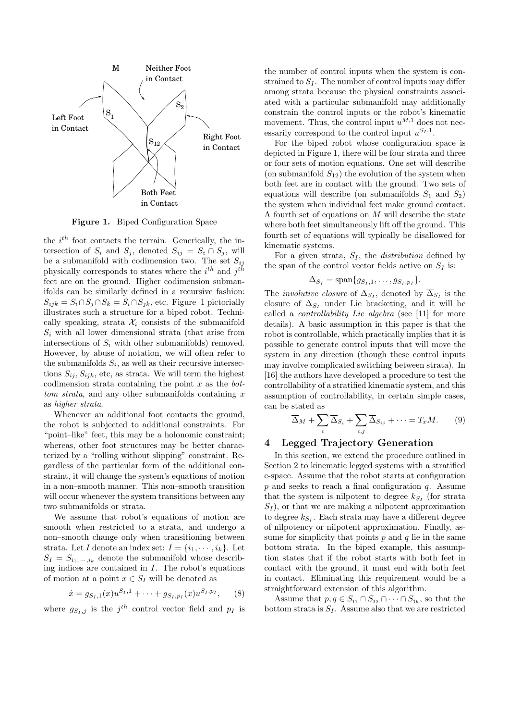

Figure 1. Biped Configuration Space

the  $i<sup>th</sup>$  foot contacts the terrain. Generically, the intersection of  $S_i$  and  $S_j$ , denoted  $S_{ij} = S_i \cap S_j$ , will be a submanifold with codimension two. The set  $S_{ij}$ physically corresponds to states where the  $i^{th}$  and  $j^{th}$ feet are on the ground. Higher codimension submanifolds can be similarly defined in a recursive fashion:  $S_{ijk} = S_i \cap S_j \cap S_k = S_i \cap S_{jk}$ , etc. Figure 1 pictorially illustrates such a structure for a biped robot. Technically speaking, strata  $\mathcal{X}_i$  consists of the submanifold  $S_i$  with all lower dimensional strata (that arise from intersections of  $S_i$  with other submanifolds) removed. However, by abuse of notation, we will often refer to the submanifolds  $S_i$ , as well as their recursive intersections  $S_{ij}, S_{ijk}$ , etc, as strata. We will term the highest codimension strata containing the point  $x$  as the *bot* $tom<sub>strata</sub>$ , and any other submanifolds containing x as higher strata.

Whenever an additional foot contacts the ground, the robot is subjected to additional constraints. For "point–like" feet, this may be a holonomic constraint; whereas, other foot structures may be better characterized by a "rolling without slipping" constraint. Regardless of the particular form of the additional constraint, it will change the system's equations of motion in a non–smooth manner. This non–smooth transition will occur whenever the system transitions between any two submanifolds or strata.

We assume that robot's equations of motion are smooth when restricted to a strata, and undergo a non–smooth change only when transitioning between strata. Let I denote an index set:  $I = \{i_1, \dots, i_k\}$ . Let  $S_I = S_{i_1,\dots,i_k}$  denote the submanifold whose describing indices are contained in  $I$ . The robot's equations of motion at a point  $x \in S_I$  will be denoted as

$$
\dot{x} = g_{S_I,1}(x)u^{S_I,1} + \dots + g_{S_I,p_I}(x)u^{S_I,p_I},\qquad(8)
$$

where  $g_{S_I,j}$  is the  $j^{th}$  control vector field and  $p_I$  is

the number of control inputs when the system is constrained to  $S_I$ . The number of control inputs may differ among strata because the physical constraints associated with a particular submanifold may additionally constrain the control inputs or the robot's kinematic movement. Thus, the control input  $u^{M,1}$  does not necessarily correspond to the control input  $u^{S_I,1}$ .

For the biped robot whose configuration space is depicted in Figure 1, there will be four strata and three or four sets of motion equations. One set will describe (on submanifold  $S_{12}$ ) the evolution of the system when both feet are in contact with the ground. Two sets of equations will describe (on submanifolds  $S_1$  and  $S_2$ ) the system when individual feet make ground contact. A fourth set of equations on M will describe the state where both feet simultaneously lift off the ground. This fourth set of equations will typically be disallowed for kinematic systems.

For a given strata,  $S_I$ , the *distribution* defined by the span of the control vector fields active on  $S_I$  is:

$$
\Delta_{S_I} = \text{span}\{g_{S_I,1},\ldots,g_{S_I,p_I}\}.
$$

The *involutive closure* of  $\Delta_{S_I}$ , denoted by  $\Delta_{S_I}$  is the closure of  $\Delta_{S_I}$  under Lie bracketing, and it will be called a controllability Lie algebra (see [11] for more details). A basic assumption in this paper is that the robot is controllable, which practically implies that it is possible to generate control inputs that will move the system in any direction (though these control inputs may involve complicated switching between strata). In [16] the authors have developed a procedure to test the controllability of a stratified kinematic system, and this assumption of controllability, in certain simple cases, can be stated as

$$
\overline{\Delta}_M + \sum_i \overline{\Delta}_{S_i} + \sum_{i,j} \overline{\Delta}_{S_{ij}} + \cdots = T_x M. \tag{9}
$$

# 4 Legged Trajectory Generation

In this section, we extend the procedure outlined in Section 2 to kinematic legged systems with a stratified c-space. Assume that the robot starts at configuration  $p$  and seeks to reach a final configuration  $q$ . Assume that the system is nilpotent to degree  $k_{S_I}$  (for strata  $S_I$ , or that we are making a nilpotent approximation to degree  $k_{S_I}$ . Each strata may have a different degree of nilpotency or nilpotent approximation. Finally, assume for simplicity that points  $p$  and  $q$  lie in the same bottom strata. In the biped example, this assumption states that if the robot starts with both feet in contact with the ground, it must end with both feet in contact. Eliminating this requirement would be a straightforward extension of this algorithm.

Assume that  $p, q \in S_{i_1} \cap S_{i_2} \cap \cdots \cap S_{i_k}$ , so that the bottom strata is  $S_I$ . Assume also that we are restricted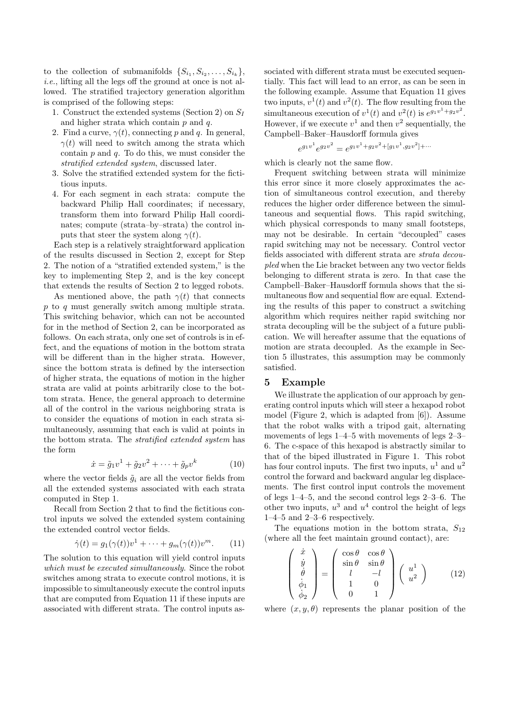to the collection of submanifolds  $\{S_{i_1}, S_{i_2}, \ldots, S_{i_k}\},\$ i.e., lifting all the legs off the ground at once is not allowed. The stratified trajectory generation algorithm is comprised of the following steps:

- 1. Construct the extended systems (Section 2) on  $S_I$ and higher strata which contain  $p$  and  $q$ .
- 2. Find a curve,  $\gamma(t)$ , connecting p and q. In general,  $\gamma(t)$  will need to switch among the strata which contain  $p$  and  $q$ . To do this, we must consider the stratified extended system, discussed later.
- 3. Solve the stratified extended system for the fictitious inputs.
- 4. For each segment in each strata: compute the backward Philip Hall coordinates; if necessary, transform them into forward Philip Hall coordinates; compute (strata–by–strata) the control inputs that steer the system along  $\gamma(t)$ .

Each step is a relatively straightforward application of the results discussed in Section 2, except for Step 2. The notion of a "stratified extended system," is the key to implementing Step 2, and is the key concept that extends the results of Section 2 to legged robots.

As mentioned above, the path  $\gamma(t)$  that connects p to q must generally switch among multiple strata. This switching behavior, which can not be accounted for in the method of Section 2, can be incorporated as follows. On each strata, only one set of controls is in effect, and the equations of motion in the bottom strata will be different than in the higher strata. However, since the bottom strata is defined by the intersection of higher strata, the equations of motion in the higher strata are valid at points arbitrarily close to the bottom strata. Hence, the general approach to determine all of the control in the various neighboring strata is to consider the equations of motion in each strata simultaneously, assuming that each is valid at points in the bottom strata. The *stratified extended system* has the form

$$
\dot{x} = \tilde{g}_1 v^1 + \tilde{g}_2 v^2 + \dots + \tilde{g}_p v^k \tag{10}
$$

where the vector fields  $\tilde{g}_i$  are all the vector fields from all the extended systems associated with each strata computed in Step 1.

Recall from Section 2 that to find the fictitious control inputs we solved the extended system containing the extended control vector fields.

$$
\dot{\gamma}(t) = g_1(\gamma(t))v^1 + \dots + g_m(\gamma(t))v^m.
$$
 (11)

The solution to this equation will yield control inputs which must be executed simultaneously. Since the robot switches among strata to execute control motions, it is impossible to simultaneously execute the control inputs that are computed from Equation 11 if these inputs are associated with different strata. The control inputs associated with different strata must be executed sequentially. This fact will lead to an error, as can be seen in the following example. Assume that Equation 11 gives two inputs,  $v^1(t)$  and  $v^2(t)$ . The flow resulting from the simultaneous execution of  $v^1(t)$  and  $v^2(t)$  is  $e^{g_1v^1+g_2v^2}$ . However, if we execute  $v^1$  and then  $v^2$  sequentially, the Campbell–Baker–Hausdorff formula gives

$$
e^{g_1v^1}e^{g_2v^2} = e^{g_1v^1 + g_2v^2 + [g_1v^1, g_2v^2] + \cdots}
$$

which is clearly not the same flow.

Frequent switching between strata will minimize this error since it more closely approximates the action of simultaneous control execution, and thereby reduces the higher order difference between the simultaneous and sequential flows. This rapid switching, which physical corresponds to many small footsteps, may not be desirable. In certain "decoupled" cases rapid switching may not be necessary. Control vector fields associated with different strata are strata decoupled when the Lie bracket between any two vector fields belonging to different strata is zero. In that case the Campbell–Baker–Hausdorff formula shows that the simultaneous flow and sequential flow are equal. Extending the results of this paper to construct a switching algorithm which requires neither rapid switching nor strata decoupling will be the subject of a future publication. We will hereafter assume that the equations of motion are strata decoupled. As the example in Section 5 illustrates, this assumption may be commonly satisfied.

#### 5 Example

We illustrate the application of our approach by generating control inputs which will steer a hexapod robot model (Figure 2, which is adapted from [6]). Assume that the robot walks with a tripod gait, alternating movements of legs 1–4–5 with movements of legs 2–3– 6. The c-space of this hexapod is abstractly similar to that of the biped illustrated in Figure 1. This robot has four control inputs. The first two inputs,  $u^1$  and  $u^2$ control the forward and backward angular leg displacements. The first control input controls the movement of legs 1–4–5, and the second control legs 2–3–6. The other two inputs,  $u^3$  and  $u^4$  control the height of legs 1–4–5 and 2–3–6 respectively.

The equations motion in the bottom strata,  $S_{12}$ (where all the feet maintain ground contact), are:

$$
\begin{pmatrix}\n\dot{x} \\
\dot{y} \\
\dot{\theta} \\
\dot{\phi}_1 \\
\dot{\phi}_2\n\end{pmatrix} = \begin{pmatrix}\n\cos\theta & \cos\theta \\
\sin\theta & \sin\theta \\
l & -l \\
1 & 0 \\
0 & 1\n\end{pmatrix} \begin{pmatrix}\nu^1 \\
u^2\n\end{pmatrix}
$$
\n(12)

where  $(x, y, \theta)$  represents the planar position of the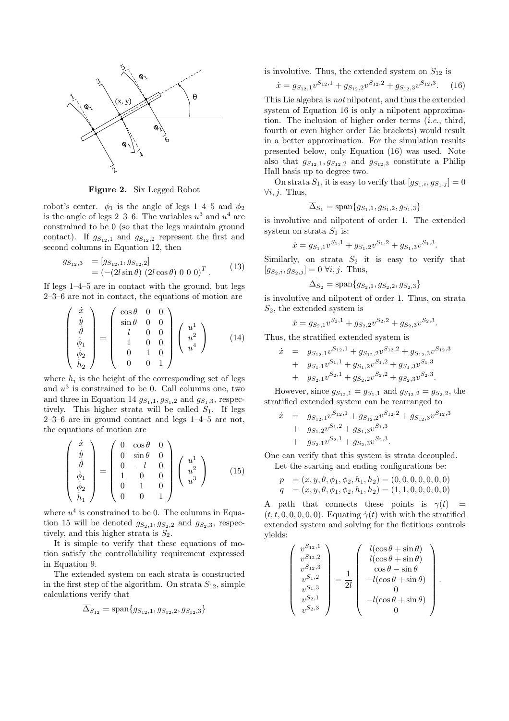

Figure 2. Six Legged Robot

robot's center.  $\phi_1$  is the angle of legs 1–4–5 and  $\phi_2$ is the angle of legs 2–3–6. The variables  $u^3$  and  $u^4$  are constrained to be 0 (so that the legs maintain ground contact). If  $g_{S_{12},1}$  and  $g_{S_{12},2}$  represent the first and second columns in Equation 12, then

$$
g_{S_{12},3} = [g_{S_{12},1}, g_{S_{12},2}]
$$
  
=  $(-(2l\sin\theta) (2l\cos\theta) 0 0 0)^T$ . (13)

If legs 1–4–5 are in contact with the ground, but legs 2–3–6 are not in contact, the equations of motion are

$$
\begin{pmatrix}\n\dot{x} \\
\dot{y} \\
\dot{\theta} \\
\dot{\phi}_1 \\
\dot{\phi}_2 \\
\dot{h}_2\n\end{pmatrix} = \begin{pmatrix}\n\cos\theta & 0 & 0 \\
\sin\theta & 0 & 0 \\
l & 0 & 0 \\
1 & 0 & 0 \\
0 & 1 & 0 \\
0 & 0 & 1\n\end{pmatrix} \begin{pmatrix}\nu^1 \\
u^2 \\
u^4\n\end{pmatrix}
$$
\n(14)

where  $h_i$  is the height of the corresponding set of legs and  $u^3$  is constrained to be 0. Call columns one, two and three in Equation 14  $g_{S_1,1}, g_{S_1,2}$  and  $g_{S_1,3}$ , respectively. This higher strata will be called  $S_1$ . If legs  $2-3-6$  are in ground contact and legs  $1-4-5$  are not, the equations of motion are

$$
\begin{pmatrix}\n\dot{x} \\
\dot{y} \\
\dot{\theta} \\
\dot{\phi}_1 \\
\dot{\phi}_2 \\
\dot{h}_1\n\end{pmatrix} = \begin{pmatrix}\n0 & \cos\theta & 0 \\
0 & \sin\theta & 0 \\
0 & -l & 0 \\
1 & 0 & 0 \\
0 & 1 & 0 \\
0 & 0 & 1\n\end{pmatrix} \begin{pmatrix}\nu^1 \\
u^2 \\
u^3\n\end{pmatrix}
$$
\n(15)

where  $u^4$  is constrained to be 0. The columns in Equation 15 will be denoted  $g_{S_2,1}, g_{S_2,2}$  and  $g_{S_2,3}$ , respectively, and this higher strata is  $S_2$ .

It is simple to verify that these equations of motion satisfy the controllability requirement expressed in Equation 9.

The extended system on each strata is constructed in the first step of the algorithm. On strata  $S_{12}$ , simple calculations verify that

$$
\Delta_{S_{12}} = \text{span}\{g_{S_{12},1}, g_{S_{12},2}, g_{S_{12},3}\}\
$$

is involutive. Thus, the extended system on  $S_{12}$  is

$$
\dot{x} = g_{S_{12},1}v^{S_{12},1} + g_{S_{12},2}v^{S_{12},2} + g_{S_{12},3}v^{S_{12},3}.
$$
 (16)

This Lie algebra is not nilpotent, and thus the extended system of Equation 16 is only a nilpotent approximation. The inclusion of higher order terms (i.e., third, fourth or even higher order Lie brackets) would result in a better approximation. For the simulation results presented below, only Equation (16) was used. Note also that  $g_{S_{12},1}, g_{S_{12},2}$  and  $g_{S_{12},3}$  constitute a Philip Hall basis up to degree two.

On strata  $S_1$ , it is easy to verify that  $[g_{S_1,i}, g_{S_1,j}] = 0$  $∀i, j.$  Thus,

$$
\overline{\Delta}_{S_1} = \text{span}\{g_{S_1,1}, g_{S_1,2}, g_{S_1,3}\}\
$$

is involutive and nilpotent of order 1. The extended system on strata  $S_1$  is:

$$
\dot{x} = g_{S_1,1}v^{S_1,1} + g_{S_1,2}v^{S_1,2} + g_{S_1,3}v^{S_1,3}.
$$

Similarly, on strata  $S_2$  it is easy to verify that  $[g_{S_2,i}, g_{S_2,j}] = 0 \,\forall i, j$ . Thus,

$$
\Delta_{S_2} = \text{span}\{g_{S_2,1}, g_{S_2,2}, g_{S_2,3}\}\
$$

is involutive and nilpotent of order 1. Thus, on strata  $S_2$ , the extended system is

$$
\dot{x} = g_{S_2,1}v^{S_2,1} + g_{S_2,2}v^{S_2,2} + g_{S_2,3}v^{S_2,3}.
$$

Thus, the stratified extended system is

$$
\dot{x} = g_{S_{12},1}v^{S_{12},1} + g_{S_{12},2}v^{S_{12},2} + g_{S_{12},3}v^{S_{12},3} \n+ g_{S_1,1}v^{S_1,1} + g_{S_1,2}v^{S_1,2} + g_{S_1,3}v^{S_1,3} \n+ g_{S_2,1}v^{S_2,1} + g_{S_2,2}v^{S_2,2} + g_{S_2,3}v^{S_2,3}.
$$

However, since  $g_{S_{12},1} = g_{S_1,1}$  and  $g_{S_{12},2} = g_{S_2,2}$ , the stratified extended system can be rearranged to

$$
\dot{x} = g_{S_{12},1}v^{S_{12},1} + g_{S_{12},2}v^{S_{12},2} + g_{S_{12},3}v^{S_{12},3} \n+ g_{S_1,2}v^{S_1,2} + g_{S_1,3}v^{S_1,3} \n+ g_{S_2,1}v^{S_2,1} + g_{S_2,3}v^{S_2,3}.
$$

One can verify that this system is strata decoupled. Let the starting and ending configurations be:

$$
p = (x, y, \theta, \phi_1, \phi_2, h_1, h_2) = (0, 0, 0, 0, 0, 0, 0)
$$
  
\n
$$
q = (x, y, \theta, \phi_1, \phi_2, h_1, h_2) = (1, 1, 0, 0, 0, 0, 0)
$$

A path that connects these points is  $\gamma(t)$  $(t, t, 0, 0, 0, 0, 0)$ . Equating  $\dot{\gamma}(t)$  with with the stratified extended system and solving for the fictitious controls yields:

$$
\begin{pmatrix}\nv^{S_{12},1} \\
v^{S_{12},2} \\
v^{S_{12},3} \\
v^{S_{12},3} \\
v^{S_{13}} \\
v^{S_{2,1}} \\
v^{S_{2,2}}\n\end{pmatrix} = \frac{1}{2l} \begin{pmatrix}\nl(\cos\theta + \sin\theta) \\
l(\cos\theta + \sin\theta) \\
\cos\theta - \sin\theta \\
-l(\cos\theta + \sin\theta) \\
0 \\
0\n\end{pmatrix}.
$$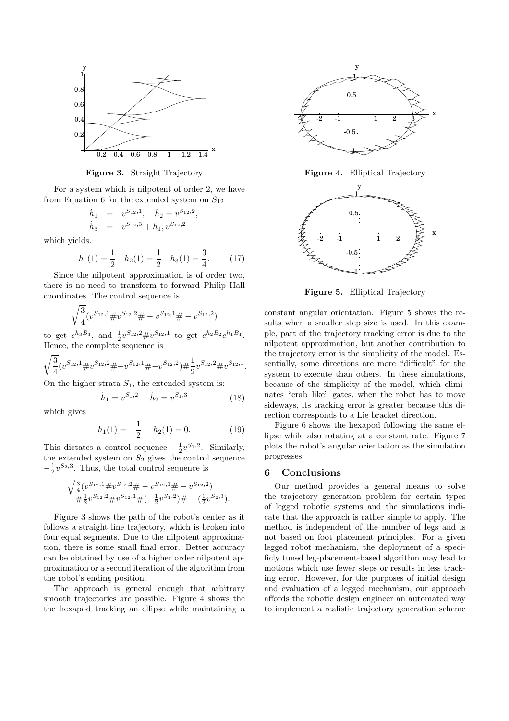

Figure 3. Straight Trajectory

For a system which is nilpotent of order 2, we have from Equation 6 for the extended system on  $S_{12}$ 

$$
\begin{array}{rcl}\n\dot{h}_1 &=& v^{S_{12},1}, & \dot{h}_2 = v^{S_{12},2} \\
\dot{h}_3 &=& v^{S_{12},3} + h_1, v^{S_{12},2}\n\end{array}
$$

which yields.

$$
h_1(1) = \frac{1}{2} \quad h_2(1) = \frac{1}{2} \quad h_3(1) = \frac{3}{4}.\tag{17}
$$

,

Since the nilpotent approximation is of order two, there is no need to transform to forward Philip Hall coordinates. The control sequence is

$$
\sqrt{\frac{3}{4}}(v^{S_{12},1} \# v^{S_{12},2} \# - v^{S_{12},1} \# - v^{S_{12},2})
$$

to get  $e^{h_3 B_3}$ , and  $\frac{1}{2}v^{S_{12},2} \# v^{S_{12},1}$  to get  $e^{h_2 B_2} e^{h_1 B_1}$ . Hence, the complete sequence is

$$
\sqrt{\frac{3}{4}}(v^{S_{12},1} \# v^{S_{12},2} \# -v^{S_{12},1} \# -v^{S_{12},2}) \# \frac{1}{2}v^{S_{12},2} \# v^{S_{12},1}.
$$

On the higher strata  $S_1$ , the extended system is:

$$
\dot{h}_1 = v^{S_1,2} \quad \dot{h}_2 = v^{S_1,3} \tag{18}
$$

which gives

$$
h_1(1) = -\frac{1}{2} \quad h_2(1) = 0. \tag{19}
$$

This dictates a control sequence  $-\frac{1}{2}v^{S_1,2}$ . Similarly, the extended system on  $S_2$  gives the control sequence  $-\frac{1}{2}v^{S_2,3}$ . Thus, the total control sequence is

$$
\sqrt{\frac{3}{4}}(v^{S_{12},1} \# v^{S_{12},2} \# - v^{S_{12},1} \# - v^{S_{12},2})
$$
  

$$
\# \frac{1}{2}v^{S_{12},2} \# v^{S_{12},1} \# (-\frac{1}{2}v^{S_{1},2}) \# - (\frac{1}{2}v^{S_{2},3}).
$$

Figure 3 shows the path of the robot's center as it follows a straight line trajectory, which is broken into four equal segments. Due to the nilpotent approximation, there is some small final error. Better accuracy can be obtained by use of a higher order nilpotent approximation or a second iteration of the algorithm from the robot's ending position.

The approach is general enough that arbitrary smooth trajectories are possible. Figure 4 shows the the hexapod tracking an ellipse while maintaining a



Figure 4. Elliptical Trajectory



Figure 5. Elliptical Trajectory

constant angular orientation. Figure 5 shows the results when a smaller step size is used. In this example, part of the trajectory tracking error is due to the nilpotent approximation, but another contribution to the trajectory error is the simplicity of the model. Essentially, some directions are more "difficult" for the system to execute than others. In these simulations, because of the simplicity of the model, which eliminates "crab–like" gates, when the robot has to move sideways, its tracking error is greater because this direction corresponds to a Lie bracket direction.

Figure 6 shows the hexapod following the same ellipse while also rotating at a constant rate. Figure 7 plots the robot's angular orientation as the simulation progresses.

### 6 Conclusions

Our method provides a general means to solve the trajectory generation problem for certain types of legged robotic systems and the simulations indicate that the approach is rather simple to apply. The method is independent of the number of legs and is not based on foot placement principles. For a given legged robot mechanism, the deployment of a specificly tuned leg-placement-based algorithm may lead to motions which use fewer steps or results in less tracking error. However, for the purposes of initial design and evaluation of a legged mechanism, our approach affords the robotic design engineer an automated way to implement a realistic trajectory generation scheme